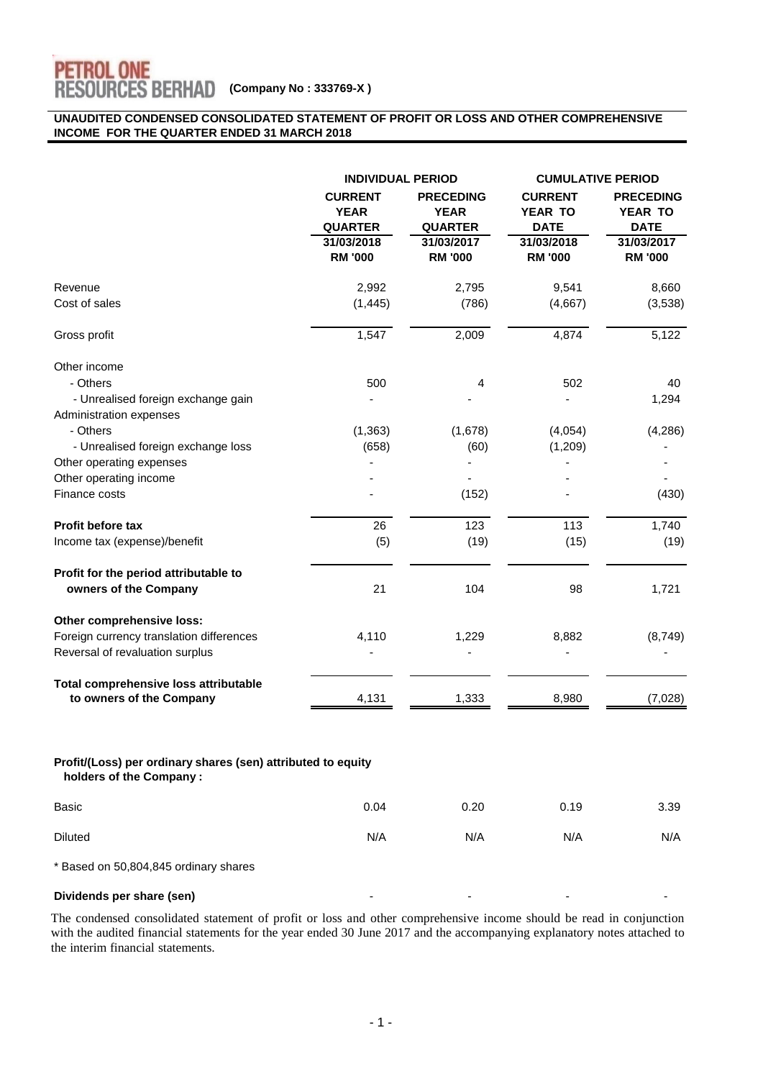

#### **UNAUDITED CONDENSED CONSOLIDATED STATEMENT OF PROFIT OR LOSS AND OTHER COMPREHENSIVE INCOME FOR THE QUARTER ENDED 31 MARCH 2018**

|                                                                                         | <b>INDIVIDUAL PERIOD</b>                                                        |                                                                                   | <b>CUMULATIVE PERIOD</b>                                                        |                                                                            |
|-----------------------------------------------------------------------------------------|---------------------------------------------------------------------------------|-----------------------------------------------------------------------------------|---------------------------------------------------------------------------------|----------------------------------------------------------------------------|
|                                                                                         | <b>CURRENT</b><br><b>YEAR</b><br><b>QUARTER</b><br>31/03/2018<br><b>RM '000</b> | <b>PRECEDING</b><br><b>YEAR</b><br><b>QUARTER</b><br>31/03/2017<br><b>RM '000</b> | <b>CURRENT</b><br><b>YEAR TO</b><br><b>DATE</b><br>31/03/2018<br><b>RM '000</b> | <b>PRECEDING</b><br>YEAR TO<br><b>DATE</b><br>31/03/2017<br><b>RM '000</b> |
| Revenue                                                                                 | 2,992                                                                           | 2,795                                                                             | 9,541                                                                           | 8,660                                                                      |
| Cost of sales                                                                           | (1, 445)                                                                        | (786)                                                                             | (4,667)                                                                         | (3,538)                                                                    |
| Gross profit                                                                            | 1,547                                                                           | 2,009                                                                             | 4,874                                                                           | 5,122                                                                      |
| Other income                                                                            |                                                                                 |                                                                                   |                                                                                 |                                                                            |
| - Others                                                                                | 500                                                                             | 4                                                                                 | 502                                                                             | 40                                                                         |
| - Unrealised foreign exchange gain<br>Administration expenses                           |                                                                                 |                                                                                   |                                                                                 | 1,294                                                                      |
| - Others                                                                                | (1, 363)                                                                        | (1,678)                                                                           | (4,054)                                                                         | (4, 286)                                                                   |
| - Unrealised foreign exchange loss                                                      | (658)                                                                           | (60)                                                                              | (1,209)                                                                         |                                                                            |
| Other operating expenses                                                                |                                                                                 |                                                                                   |                                                                                 |                                                                            |
| Other operating income                                                                  |                                                                                 |                                                                                   |                                                                                 |                                                                            |
| Finance costs                                                                           |                                                                                 | (152)                                                                             |                                                                                 | (430)                                                                      |
| <b>Profit before tax</b>                                                                | 26                                                                              | 123                                                                               | 113                                                                             | 1,740                                                                      |
| Income tax (expense)/benefit                                                            | (5)                                                                             | (19)                                                                              | (15)                                                                            | (19)                                                                       |
| Profit for the period attributable to                                                   |                                                                                 |                                                                                   |                                                                                 |                                                                            |
| owners of the Company                                                                   | 21                                                                              | 104                                                                               | 98                                                                              | 1,721                                                                      |
| Other comprehensive loss:                                                               |                                                                                 |                                                                                   |                                                                                 |                                                                            |
| Foreign currency translation differences                                                | 4,110                                                                           | 1,229                                                                             | 8,882                                                                           | (8,749)                                                                    |
| Reversal of revaluation surplus                                                         |                                                                                 |                                                                                   |                                                                                 |                                                                            |
| Total comprehensive loss attributable                                                   |                                                                                 |                                                                                   |                                                                                 |                                                                            |
| to owners of the Company                                                                | 4,131                                                                           | 1,333                                                                             | 8,980                                                                           | (7,028)                                                                    |
| Profit/(Loss) per ordinary shares (sen) attributed to equity<br>holders of the Company: |                                                                                 |                                                                                   |                                                                                 |                                                                            |
| Basic                                                                                   | 0.04                                                                            | 0.20                                                                              | 0.19                                                                            | 3.39                                                                       |

\* Based on 50,804,845 ordinary shares

#### **Dividends per share (sen)**

The condensed consolidated statement of profit or loss and other comprehensive income should be read in conjunction with the audited financial statements for the year ended 30 June 2017 and the accompanying explanatory notes attached to the interim financial statements.

Diluted N/A N/A N/A N/A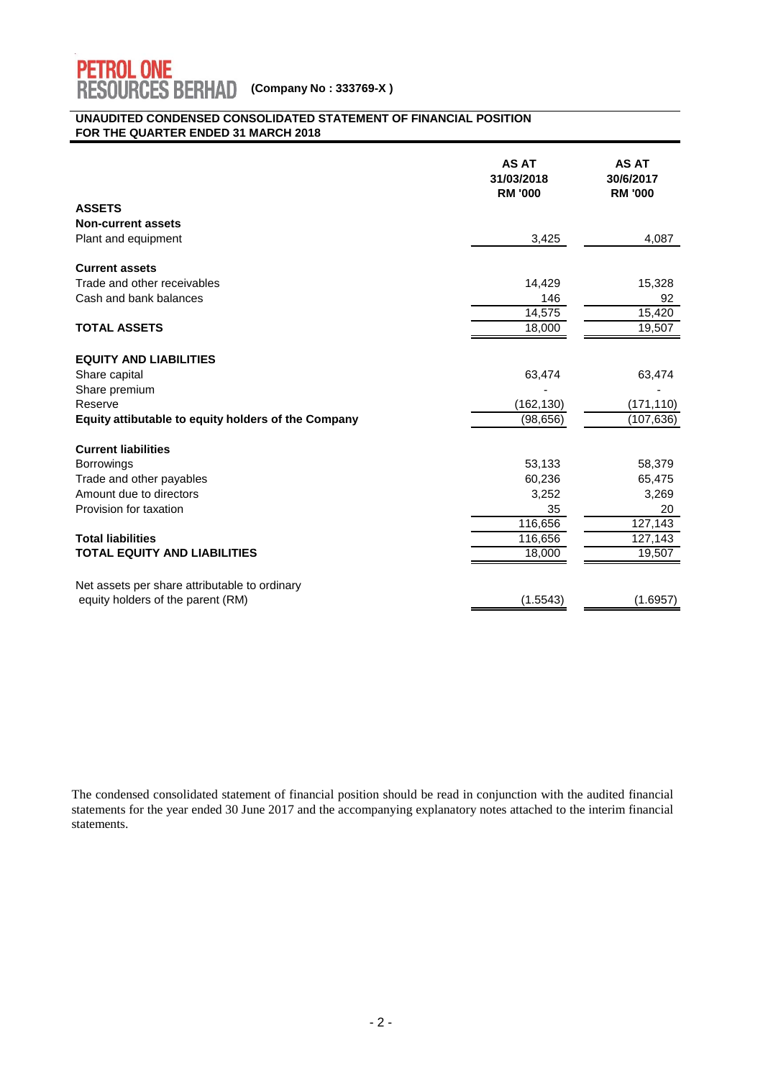

#### **UNAUDITED CONDENSED CONSOLIDATED STATEMENT OF FINANCIAL POSITION FOR THE QUARTER ENDED 31 MARCH 2018**

|                                                     | <b>AS AT</b><br>31/03/2018<br><b>RM '000</b> | <b>AS AT</b><br>30/6/2017<br><b>RM '000</b> |
|-----------------------------------------------------|----------------------------------------------|---------------------------------------------|
| <b>ASSETS</b>                                       |                                              |                                             |
| <b>Non-current assets</b>                           |                                              |                                             |
| Plant and equipment                                 | 3,425                                        | 4,087                                       |
| <b>Current assets</b>                               |                                              |                                             |
| Trade and other receivables                         | 14,429                                       | 15,328                                      |
| Cash and bank balances                              | 146                                          | 92                                          |
|                                                     | 14,575                                       | 15,420                                      |
| <b>TOTAL ASSETS</b>                                 | 18,000                                       | 19,507                                      |
| <b>EQUITY AND LIABILITIES</b>                       |                                              |                                             |
| Share capital                                       | 63,474                                       | 63,474                                      |
| Share premium                                       |                                              |                                             |
| Reserve                                             | (162, 130)                                   | (171, 110)                                  |
| Equity attibutable to equity holders of the Company | (98, 656)                                    | (107, 636)                                  |
| <b>Current liabilities</b>                          |                                              |                                             |
| <b>Borrowings</b>                                   | 53,133                                       | 58,379                                      |
| Trade and other payables                            | 60,236                                       | 65,475                                      |
| Amount due to directors                             | 3,252                                        | 3,269                                       |
| Provision for taxation                              | 35                                           | 20                                          |
|                                                     | 116,656                                      | 127,143                                     |
| <b>Total liabilities</b>                            | 116,656                                      | 127,143                                     |
| <b>TOTAL EQUITY AND LIABILITIES</b>                 | 18,000                                       | 19,507                                      |
| Net assets per share attributable to ordinary       |                                              |                                             |
| equity holders of the parent (RM)                   | (1.5543)                                     | (1.6957)                                    |

The condensed consolidated statement of financial position should be read in conjunction with the audited financial statements for the year ended 30 June 2017 and the accompanying explanatory notes attached to the interim financial statements.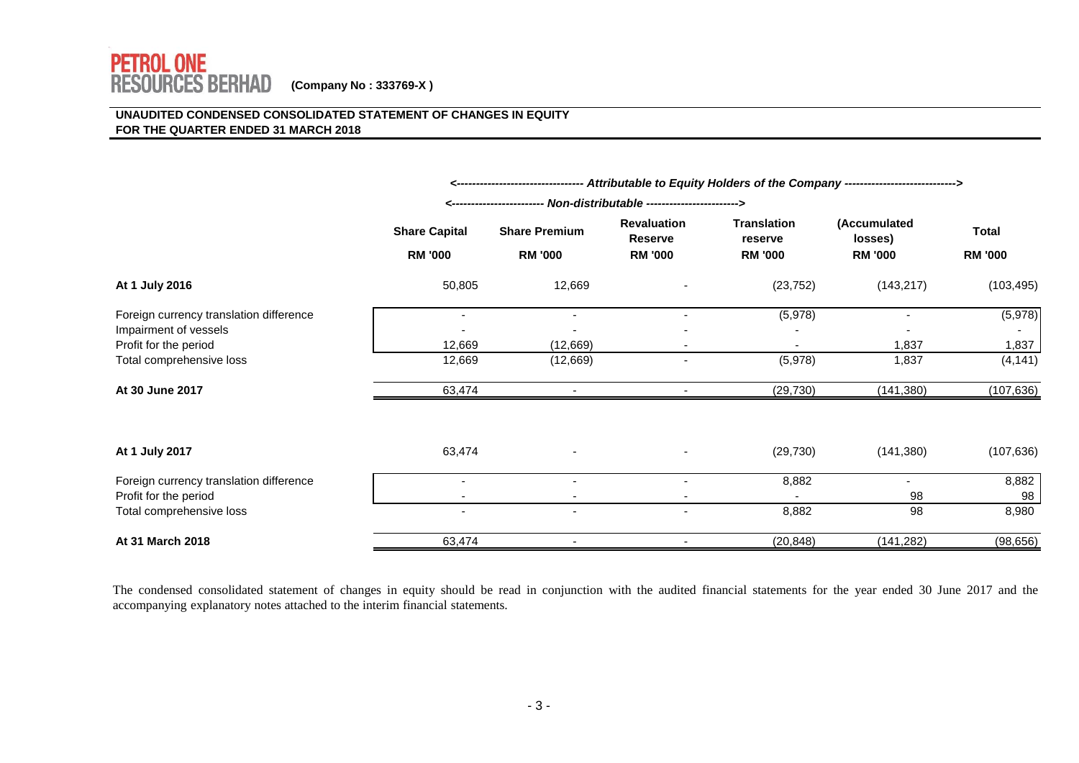### **UNAUDITED CONDENSED CONSOLIDATED STATEMENT OF CHANGES IN EQUITY FOR THE QUARTER ENDED 31 MARCH 2018**

|                                                   | <--------------------------------- Attributable to Equity Holders of the Company ---------------------------> |                                        |                                                        |                                                 |                                           |                                |
|---------------------------------------------------|---------------------------------------------------------------------------------------------------------------|----------------------------------------|--------------------------------------------------------|-------------------------------------------------|-------------------------------------------|--------------------------------|
|                                                   | - Non-distributable -----------------------><br>---------------------                                         |                                        |                                                        |                                                 |                                           |                                |
|                                                   | <b>Share Capital</b><br><b>RM '000</b>                                                                        | <b>Share Premium</b><br><b>RM '000</b> | <b>Revaluation</b><br><b>Reserve</b><br><b>RM '000</b> | <b>Translation</b><br>reserve<br><b>RM '000</b> | (Accumulated<br>losses)<br><b>RM '000</b> | <b>Total</b><br><b>RM '000</b> |
| At 1 July 2016                                    | 50,805                                                                                                        | 12,669                                 |                                                        | (23, 752)                                       | (143, 217)                                | (103, 495)                     |
| Foreign currency translation difference           | $\overline{\phantom{a}}$                                                                                      | $\overline{\phantom{a}}$               |                                                        | (5,978)                                         |                                           | (5,978)                        |
| Impairment of vessels                             |                                                                                                               |                                        |                                                        |                                                 |                                           |                                |
| Profit for the period<br>Total comprehensive loss | 12,669<br>12,669                                                                                              | (12, 669)<br>(12,669)                  |                                                        | (5,978)                                         | 1,837<br>1,837                            | 1,837<br>(4, 141)              |
|                                                   |                                                                                                               |                                        |                                                        |                                                 |                                           |                                |
| At 30 June 2017                                   | 63,474                                                                                                        | $\overline{\phantom{a}}$               | $\overline{\phantom{a}}$                               | (29, 730)                                       | (141, 380)                                | (107, 636)                     |
| At 1 July 2017                                    | 63,474                                                                                                        |                                        |                                                        | (29, 730)                                       | (141, 380)                                | (107, 636)                     |
| Foreign currency translation difference           |                                                                                                               |                                        |                                                        | 8,882                                           | $\blacksquare$                            | 8,882                          |
| Profit for the period                             | ٠                                                                                                             |                                        |                                                        |                                                 | 98                                        | 98                             |
| Total comprehensive loss                          | $\overline{\phantom{a}}$                                                                                      |                                        |                                                        | 8,882                                           | 98                                        | 8,980                          |
| At 31 March 2018                                  | 63,474                                                                                                        |                                        |                                                        | (20, 848)                                       | (141, 282)                                | (98, 656)                      |

The condensed consolidated statement of changes in equity should be read in conjunction with the audited financial statements for the year ended 30 June 2017 and the accompanying explanatory notes attached to the interim financial statements.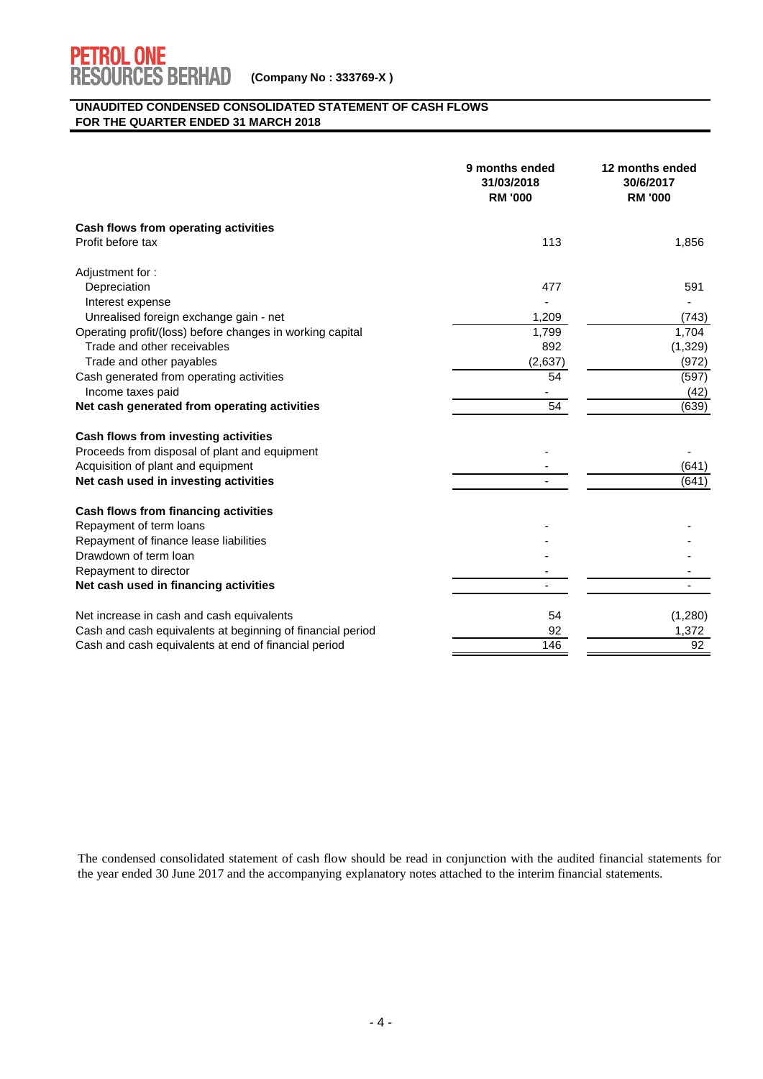

#### **UNAUDITED CONDENSED CONSOLIDATED STATEMENT OF CASH FLOWS FOR THE QUARTER ENDED 31 MARCH 2018**

|                                                            | 9 months ended<br>31/03/2018<br><b>RM '000</b> | 12 months ended<br>30/6/2017<br><b>RM '000</b> |
|------------------------------------------------------------|------------------------------------------------|------------------------------------------------|
| Cash flows from operating activities                       |                                                |                                                |
| Profit before tax                                          | 113                                            | 1,856                                          |
| Adjustment for:                                            |                                                |                                                |
| Depreciation                                               | 477                                            | 591                                            |
| Interest expense                                           |                                                |                                                |
| Unrealised foreign exchange gain - net                     | 1,209                                          | (743)                                          |
| Operating profit/(loss) before changes in working capital  | 1,799                                          | 1,704                                          |
| Trade and other receivables                                | 892                                            | (1, 329)                                       |
| Trade and other payables                                   | (2,637)                                        | (972)                                          |
| Cash generated from operating activities                   | 54                                             | (597)                                          |
| Income taxes paid                                          |                                                | (42)                                           |
| Net cash generated from operating activities               | 54                                             | (639)                                          |
| Cash flows from investing activities                       |                                                |                                                |
| Proceeds from disposal of plant and equipment              |                                                |                                                |
| Acquisition of plant and equipment                         |                                                | (641)                                          |
| Net cash used in investing activities                      | $\overline{\phantom{0}}$                       | (641)                                          |
| Cash flows from financing activities                       |                                                |                                                |
| Repayment of term loans                                    |                                                |                                                |
| Repayment of finance lease liabilities                     |                                                |                                                |
| Drawdown of term loan                                      |                                                |                                                |
| Repayment to director                                      |                                                |                                                |
| Net cash used in financing activities                      |                                                |                                                |
| Net increase in cash and cash equivalents                  | 54                                             | (1,280)                                        |
| Cash and cash equivalents at beginning of financial period | 92                                             | 1,372                                          |
| Cash and cash equivalents at end of financial period       | 146                                            | 92                                             |

The condensed consolidated statement of cash flow should be read in conjunction with the audited financial statements for the year ended 30 June 2017 and the accompanying explanatory notes attached to the interim financial statements.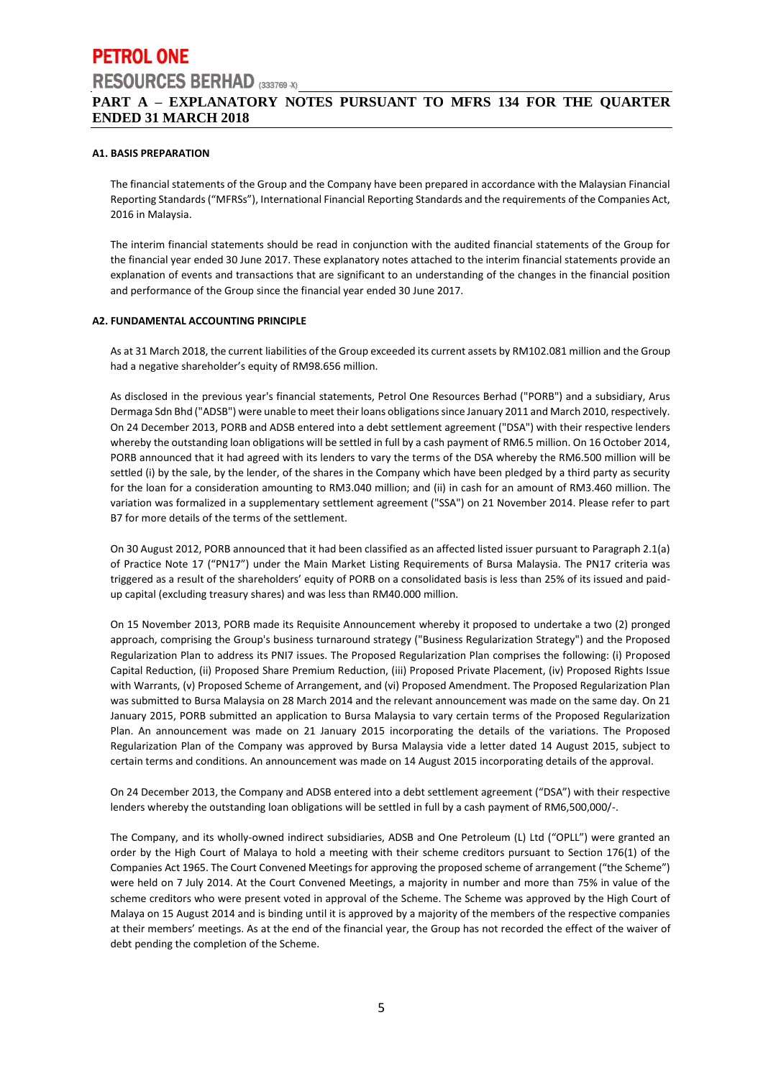# **PETROL ONE RESOURCES BERHAD** (333769-X) **PART A – EXPLANATORY NOTES PURSUANT TO MFRS 134 FOR THE QUARTER ENDED 31 MARCH 2018**

#### **A1. BASIS PREPARATION**

The financial statements of the Group and the Company have been prepared in accordance with the Malaysian Financial Reporting Standards ("MFRSs"), International Financial Reporting Standards and the requirements of the Companies Act, 2016 in Malaysia.

The interim financial statements should be read in conjunction with the audited financial statements of the Group for the financial year ended 30 June 2017. These explanatory notes attached to the interim financial statements provide an explanation of events and transactions that are significant to an understanding of the changes in the financial position and performance of the Group since the financial year ended 30 June 2017.

#### **A2. FUNDAMENTAL ACCOUNTING PRINCIPLE**

As at 31 March 2018, the current liabilities of the Group exceeded its current assets by RM102.081 million and the Group had a negative shareholder's equity of RM98.656 million.

As disclosed in the previous year's financial statements, Petrol One Resources Berhad ("PORB") and a subsidiary, Arus Dermaga Sdn Bhd ("ADSB") were unable to meet their loans obligations since January 2011 and March 2010, respectively. On 24 December 2013, PORB and ADSB entered into a debt settlement agreement ("DSA") with their respective lenders whereby the outstanding loan obligations will be settled in full by a cash payment of RM6.5 million. On 16 October 2014, PORB announced that it had agreed with its lenders to vary the terms of the DSA whereby the RM6.500 million will be settled (i) by the sale, by the lender, of the shares in the Company which have been pledged by a third party as security for the loan for a consideration amounting to RM3.040 million; and (ii) in cash for an amount of RM3.460 million. The variation was formalized in a supplementary settlement agreement ("SSA") on 21 November 2014. Please refer to part B7 for more details of the terms of the settlement.

On 30 August 2012, PORB announced that it had been classified as an affected listed issuer pursuant to Paragraph 2.1(a) of Practice Note 17 ("PN17") under the Main Market Listing Requirements of Bursa Malaysia. The PN17 criteria was triggered as a result of the shareholders' equity of PORB on a consolidated basis is less than 25% of its issued and paidup capital (excluding treasury shares) and was less than RM40.000 million.

On 15 November 2013, PORB made its Requisite Announcement whereby it proposed to undertake a two (2) pronged approach, comprising the Group's business turnaround strategy ("Business Regularization Strategy") and the Proposed Regularization Plan to address its PNI7 issues. The Proposed Regularization Plan comprises the following: (i) Proposed Capital Reduction, (ii) Proposed Share Premium Reduction, (iii) Proposed Private Placement, (iv) Proposed Rights Issue with Warrants, (v) Proposed Scheme of Arrangement, and (vi) Proposed Amendment. The Proposed Regularization Plan was submitted to Bursa Malaysia on 28 March 2014 and the relevant announcement was made on the same day. On 21 January 2015, PORB submitted an application to Bursa Malaysia to vary certain terms of the Proposed Regularization Plan. An announcement was made on 21 January 2015 incorporating the details of the variations. The Proposed Regularization Plan of the Company was approved by Bursa Malaysia vide a letter dated 14 August 2015, subject to certain terms and conditions. An announcement was made on 14 August 2015 incorporating details of the approval.

On 24 December 2013, the Company and ADSB entered into a debt settlement agreement ("DSA") with their respective lenders whereby the outstanding loan obligations will be settled in full by a cash payment of RM6,500,000/-.

The Company, and its wholly-owned indirect subsidiaries, ADSB and One Petroleum (L) Ltd ("OPLL") were granted an order by the High Court of Malaya to hold a meeting with their scheme creditors pursuant to Section 176(1) of the Companies Act 1965. The Court Convened Meetings for approving the proposed scheme of arrangement ("the Scheme") were held on 7 July 2014. At the Court Convened Meetings, a majority in number and more than 75% in value of the scheme creditors who were present voted in approval of the Scheme. The Scheme was approved by the High Court of Malaya on 15 August 2014 and is binding until it is approved by a majority of the members of the respective companies at their members' meetings. As at the end of the financial year, the Group has not recorded the effect of the waiver of debt pending the completion of the Scheme.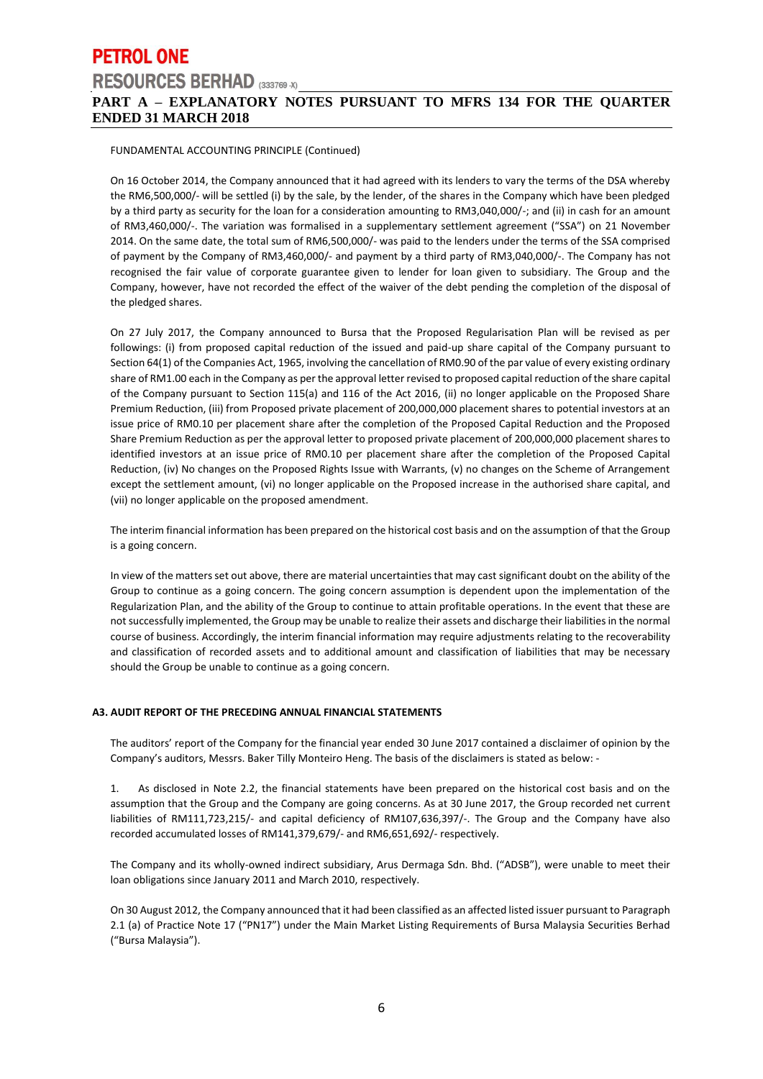## **PETROL ONE RESOURCES BERHAD** (333769-X) **PART A – EXPLANATORY NOTES PURSUANT TO MFRS 134 FOR THE QUARTER ENDED 31 MARCH 2018**

#### FUNDAMENTAL ACCOUNTING PRINCIPLE (Continued)

On 16 October 2014, the Company announced that it had agreed with its lenders to vary the terms of the DSA whereby the RM6,500,000/- will be settled (i) by the sale, by the lender, of the shares in the Company which have been pledged by a third party as security for the loan for a consideration amounting to RM3,040,000/-; and (ii) in cash for an amount of RM3,460,000/-. The variation was formalised in a supplementary settlement agreement ("SSA") on 21 November 2014. On the same date, the total sum of RM6,500,000/- was paid to the lenders under the terms of the SSA comprised of payment by the Company of RM3,460,000/- and payment by a third party of RM3,040,000/-. The Company has not recognised the fair value of corporate guarantee given to lender for loan given to subsidiary. The Group and the Company, however, have not recorded the effect of the waiver of the debt pending the completion of the disposal of the pledged shares.

On 27 July 2017, the Company announced to Bursa that the Proposed Regularisation Plan will be revised as per followings: (i) from proposed capital reduction of the issued and paid-up share capital of the Company pursuant to Section 64(1) of the Companies Act, 1965, involving the cancellation of RM0.90 of the par value of every existing ordinary share of RM1.00 each in the Company as per the approval letter revised to proposed capital reduction of the share capital of the Company pursuant to Section 115(a) and 116 of the Act 2016, (ii) no longer applicable on the Proposed Share Premium Reduction, (iii) from Proposed private placement of 200,000,000 placement shares to potential investors at an issue price of RM0.10 per placement share after the completion of the Proposed Capital Reduction and the Proposed Share Premium Reduction as per the approval letter to proposed private placement of 200,000,000 placement shares to identified investors at an issue price of RM0.10 per placement share after the completion of the Proposed Capital Reduction, (iv) No changes on the Proposed Rights Issue with Warrants, (v) no changes on the Scheme of Arrangement except the settlement amount, (vi) no longer applicable on the Proposed increase in the authorised share capital, and (vii) no longer applicable on the proposed amendment.

The interim financial information has been prepared on the historical cost basis and on the assumption of that the Group is a going concern.

In view of the matters set out above, there are material uncertainties that may cast significant doubt on the ability of the Group to continue as a going concern. The going concern assumption is dependent upon the implementation of the Regularization Plan, and the ability of the Group to continue to attain profitable operations. In the event that these are not successfully implemented, the Group may be unable to realize their assets and discharge their liabilities in the normal course of business. Accordingly, the interim financial information may require adjustments relating to the recoverability and classification of recorded assets and to additional amount and classification of liabilities that may be necessary should the Group be unable to continue as a going concern.

#### **A3. AUDIT REPORT OF THE PRECEDING ANNUAL FINANCIAL STATEMENTS**

The auditors' report of the Company for the financial year ended 30 June 2017 contained a disclaimer of opinion by the Company's auditors, Messrs. Baker Tilly Monteiro Heng. The basis of the disclaimers is stated as below: -

1. As disclosed in Note 2.2, the financial statements have been prepared on the historical cost basis and on the assumption that the Group and the Company are going concerns. As at 30 June 2017, the Group recorded net current liabilities of RM111,723,215/- and capital deficiency of RM107,636,397/-. The Group and the Company have also recorded accumulated losses of RM141,379,679/- and RM6,651,692/- respectively.

The Company and its wholly-owned indirect subsidiary, Arus Dermaga Sdn. Bhd. ("ADSB"), were unable to meet their loan obligations since January 2011 and March 2010, respectively.

On 30 August 2012, the Company announced that it had been classified as an affected listed issuer pursuant to Paragraph 2.1 (a) of Practice Note 17 ("PN17") under the Main Market Listing Requirements of Bursa Malaysia Securities Berhad ("Bursa Malaysia").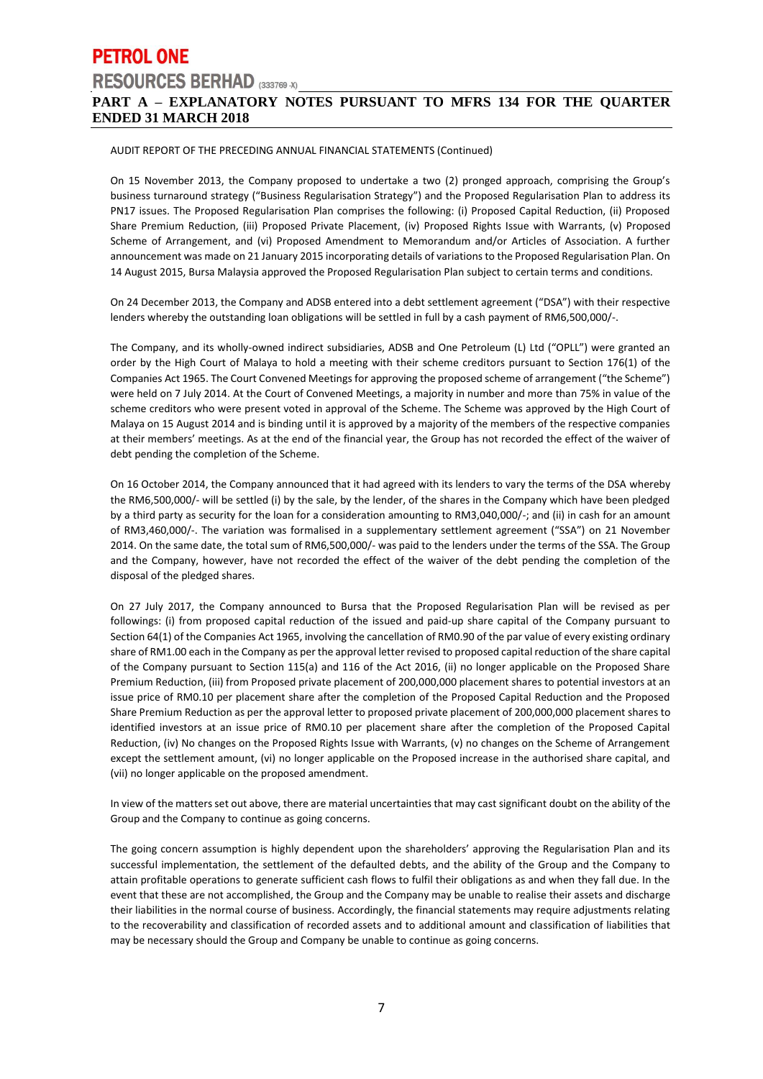## **PART A – EXPLANATORY NOTES PURSUANT TO MFRS 134 FOR THE QUARTER ENDED 31 MARCH 2018**

#### AUDIT REPORT OF THE PRECEDING ANNUAL FINANCIAL STATEMENTS (Continued)

On 15 November 2013, the Company proposed to undertake a two (2) pronged approach, comprising the Group's business turnaround strategy ("Business Regularisation Strategy") and the Proposed Regularisation Plan to address its PN17 issues. The Proposed Regularisation Plan comprises the following: (i) Proposed Capital Reduction, (ii) Proposed Share Premium Reduction, (iii) Proposed Private Placement, (iv) Proposed Rights Issue with Warrants, (v) Proposed Scheme of Arrangement, and (vi) Proposed Amendment to Memorandum and/or Articles of Association. A further announcement was made on 21 January 2015 incorporating details of variations to the Proposed Regularisation Plan. On 14 August 2015, Bursa Malaysia approved the Proposed Regularisation Plan subject to certain terms and conditions.

On 24 December 2013, the Company and ADSB entered into a debt settlement agreement ("DSA") with their respective lenders whereby the outstanding loan obligations will be settled in full by a cash payment of RM6,500,000/-.

The Company, and its wholly-owned indirect subsidiaries, ADSB and One Petroleum (L) Ltd ("OPLL") were granted an order by the High Court of Malaya to hold a meeting with their scheme creditors pursuant to Section 176(1) of the Companies Act 1965. The Court Convened Meetings for approving the proposed scheme of arrangement ("the Scheme") were held on 7 July 2014. At the Court of Convened Meetings, a majority in number and more than 75% in value of the scheme creditors who were present voted in approval of the Scheme. The Scheme was approved by the High Court of Malaya on 15 August 2014 and is binding until it is approved by a majority of the members of the respective companies at their members' meetings. As at the end of the financial year, the Group has not recorded the effect of the waiver of debt pending the completion of the Scheme.

On 16 October 2014, the Company announced that it had agreed with its lenders to vary the terms of the DSA whereby the RM6,500,000/- will be settled (i) by the sale, by the lender, of the shares in the Company which have been pledged by a third party as security for the loan for a consideration amounting to RM3,040,000/-; and (ii) in cash for an amount of RM3,460,000/-. The variation was formalised in a supplementary settlement agreement ("SSA") on 21 November 2014. On the same date, the total sum of RM6,500,000/- was paid to the lenders under the terms of the SSA. The Group and the Company, however, have not recorded the effect of the waiver of the debt pending the completion of the disposal of the pledged shares.

On 27 July 2017, the Company announced to Bursa that the Proposed Regularisation Plan will be revised as per followings: (i) from proposed capital reduction of the issued and paid-up share capital of the Company pursuant to Section 64(1) of the Companies Act 1965, involving the cancellation of RM0.90 of the par value of every existing ordinary share of RM1.00 each in the Company as per the approval letter revised to proposed capital reduction of the share capital of the Company pursuant to Section 115(a) and 116 of the Act 2016, (ii) no longer applicable on the Proposed Share Premium Reduction, (iii) from Proposed private placement of 200,000,000 placement shares to potential investors at an issue price of RM0.10 per placement share after the completion of the Proposed Capital Reduction and the Proposed Share Premium Reduction as per the approval letter to proposed private placement of 200,000,000 placement shares to identified investors at an issue price of RM0.10 per placement share after the completion of the Proposed Capital Reduction, (iv) No changes on the Proposed Rights Issue with Warrants, (v) no changes on the Scheme of Arrangement except the settlement amount, (vi) no longer applicable on the Proposed increase in the authorised share capital, and (vii) no longer applicable on the proposed amendment.

In view of the matters set out above, there are material uncertainties that may cast significant doubt on the ability of the Group and the Company to continue as going concerns.

The going concern assumption is highly dependent upon the shareholders' approving the Regularisation Plan and its successful implementation, the settlement of the defaulted debts, and the ability of the Group and the Company to attain profitable operations to generate sufficient cash flows to fulfil their obligations as and when they fall due. In the event that these are not accomplished, the Group and the Company may be unable to realise their assets and discharge their liabilities in the normal course of business. Accordingly, the financial statements may require adjustments relating to the recoverability and classification of recorded assets and to additional amount and classification of liabilities that may be necessary should the Group and Company be unable to continue as going concerns.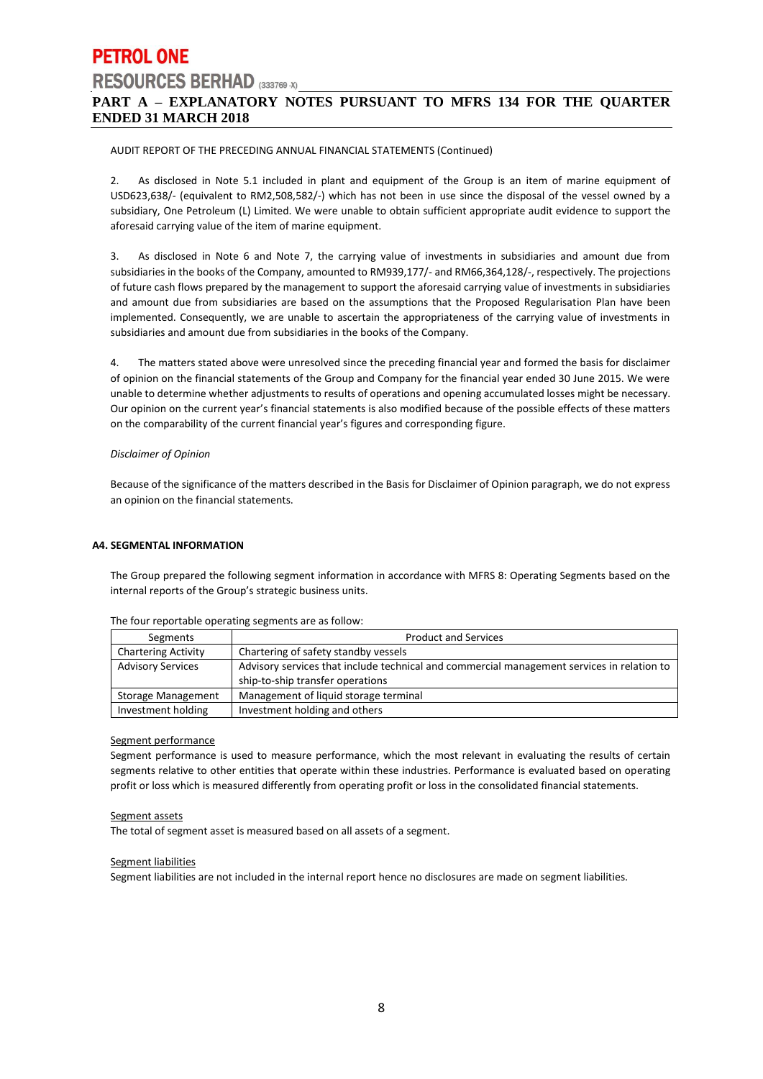## **PART A – EXPLANATORY NOTES PURSUANT TO MFRS 134 FOR THE QUARTER ENDED 31 MARCH 2018**

#### AUDIT REPORT OF THE PRECEDING ANNUAL FINANCIAL STATEMENTS (Continued)

2. As disclosed in Note 5.1 included in plant and equipment of the Group is an item of marine equipment of USD623,638/- (equivalent to RM2,508,582/-) which has not been in use since the disposal of the vessel owned by a subsidiary, One Petroleum (L) Limited. We were unable to obtain sufficient appropriate audit evidence to support the aforesaid carrying value of the item of marine equipment.

3. As disclosed in Note 6 and Note 7, the carrying value of investments in subsidiaries and amount due from subsidiaries in the books of the Company, amounted to RM939,177/- and RM66,364,128/-, respectively. The projections of future cash flows prepared by the management to support the aforesaid carrying value of investments in subsidiaries and amount due from subsidiaries are based on the assumptions that the Proposed Regularisation Plan have been implemented. Consequently, we are unable to ascertain the appropriateness of the carrying value of investments in subsidiaries and amount due from subsidiaries in the books of the Company.

4. The matters stated above were unresolved since the preceding financial year and formed the basis for disclaimer of opinion on the financial statements of the Group and Company for the financial year ended 30 June 2015. We were unable to determine whether adjustments to results of operations and opening accumulated losses might be necessary. Our opinion on the current year's financial statements is also modified because of the possible effects of these matters on the comparability of the current financial year's figures and corresponding figure.

#### *Disclaimer of Opinion*

Because of the significance of the matters described in the Basis for Disclaimer of Opinion paragraph, we do not express an opinion on the financial statements.

#### **A4. SEGMENTAL INFORMATION**

The Group prepared the following segment information in accordance with MFRS 8: Operating Segments based on the internal reports of the Group's strategic business units.

| Segments                   | <b>Product and Services</b>                                                                |
|----------------------------|--------------------------------------------------------------------------------------------|
| <b>Chartering Activity</b> | Chartering of safety standby vessels                                                       |
| <b>Advisory Services</b>   | Advisory services that include technical and commercial management services in relation to |
|                            | ship-to-ship transfer operations                                                           |
| Storage Management         | Management of liquid storage terminal                                                      |
| Investment holding         | Investment holding and others                                                              |

The four reportable operating segments are as follow:

#### Segment performance

Segment performance is used to measure performance, which the most relevant in evaluating the results of certain segments relative to other entities that operate within these industries. Performance is evaluated based on operating profit or loss which is measured differently from operating profit or loss in the consolidated financial statements.

#### Segment assets

The total of segment asset is measured based on all assets of a segment.

#### Segment liabilities

Segment liabilities are not included in the internal report hence no disclosures are made on segment liabilities.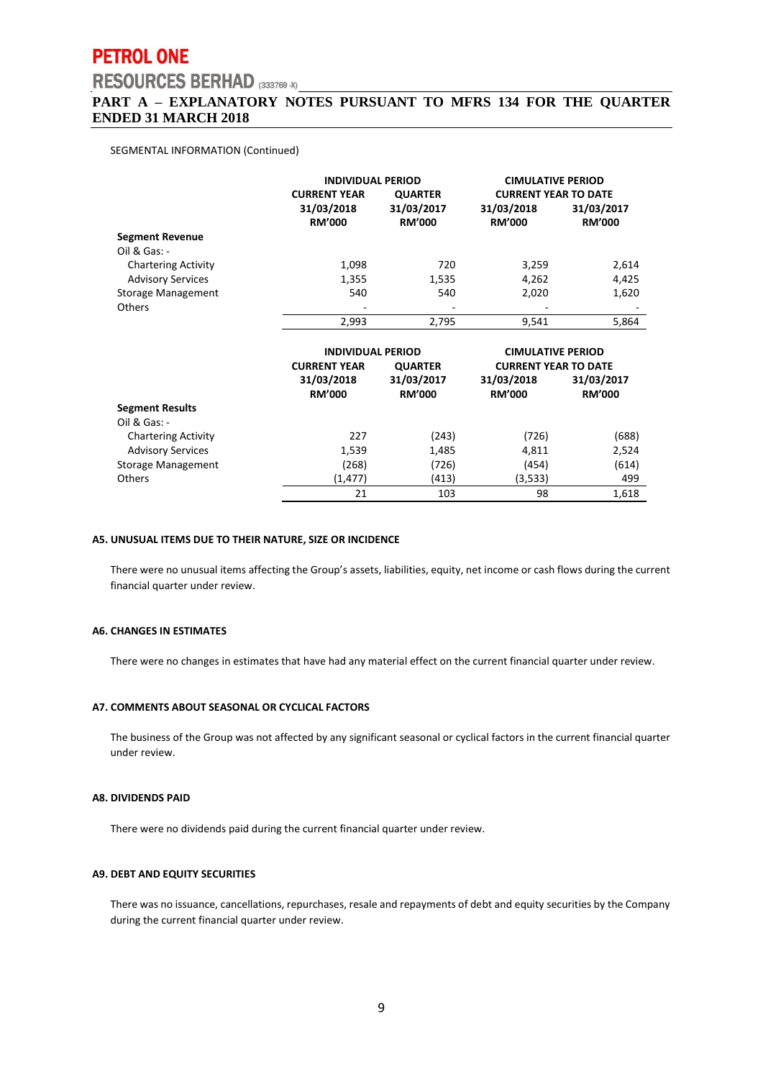# **PETROL ONE**

# **RESOURCES BERHAD** (333769 -X)

### **PART A – EXPLANATORY NOTES PURSUANT TO MFRS 134 FOR THE QUARTER ENDED 31 MARCH 2018**

#### SEGMENTAL INFORMATION (Continued)

|                            |                             | <b>INDIVIDUAL PERIOD</b>    |                             | <b>CIMULATIVE PERIOD</b>    |
|----------------------------|-----------------------------|-----------------------------|-----------------------------|-----------------------------|
|                            | <b>CURRENT YEAR</b>         | <b>QUARTER</b>              |                             | <b>CURRENT YEAR TO DATE</b> |
|                            | 31/03/2018<br><b>RM'000</b> | 31/03/2017<br><b>RM'000</b> | 31/03/2018<br><b>RM'000</b> | 31/03/2017<br><b>RM'000</b> |
| <b>Segment Revenue</b>     |                             |                             |                             |                             |
| Oil & Gas: -               |                             |                             |                             |                             |
| <b>Chartering Activity</b> | 1,098                       | 720                         | 3,259                       | 2,614                       |
| <b>Advisory Services</b>   | 1,355                       | 1,535                       | 4,262                       | 4,425                       |
| Storage Management         | 540                         | 540                         | 2,020                       | 1,620                       |
| <b>Others</b>              |                             |                             |                             |                             |
|                            | 2.993                       | 2.795                       | 9.541                       | 5.864                       |

|                            | <b>INDIVIDUAL PERIOD</b>              |                             | <b>CIMULATIVE PERIOD</b>    |                             |
|----------------------------|---------------------------------------|-----------------------------|-----------------------------|-----------------------------|
|                            | <b>QUARTER</b><br><b>CURRENT YEAR</b> |                             | <b>CURRENT YEAR TO DATE</b> |                             |
|                            | 31/03/2018<br><b>RM'000</b>           | 31/03/2017<br><b>RM'000</b> | 31/03/2018<br><b>RM'000</b> | 31/03/2017<br><b>RM'000</b> |
| <b>Segment Results</b>     |                                       |                             |                             |                             |
| $Oil & Gas: -$             |                                       |                             |                             |                             |
| <b>Chartering Activity</b> | 227                                   | (243)                       | (726)                       | (688)                       |
| <b>Advisory Services</b>   | 1,539                                 | 1,485                       | 4,811                       | 2,524                       |
| Storage Management         | (268)                                 | (726)                       | (454)                       | (614)                       |
| <b>Others</b>              | (1, 477)                              | (413)                       | (3,533)                     | 499                         |
|                            | 21                                    | 103                         | 98                          | 1,618                       |

#### **A5. UNUSUAL ITEMS DUE TO THEIR NATURE, SIZE OR INCIDENCE**

There were no unusual items affecting the Group's assets, liabilities, equity, net income or cash flows during the current financial quarter under review.

#### **A6. CHANGES IN ESTIMATES**

There were no changes in estimates that have had any material effect on the current financial quarter under review.

#### **A7. COMMENTS ABOUT SEASONAL OR CYCLICAL FACTORS**

The business of the Group was not affected by any significant seasonal or cyclical factors in the current financial quarter under review.

#### **A8. DIVIDENDS PAID**

There were no dividends paid during the current financial quarter under review.

#### **A9. DEBT AND EQUITY SECURITIES**

There was no issuance, cancellations, repurchases, resale and repayments of debt and equity securities by the Company during the current financial quarter under review.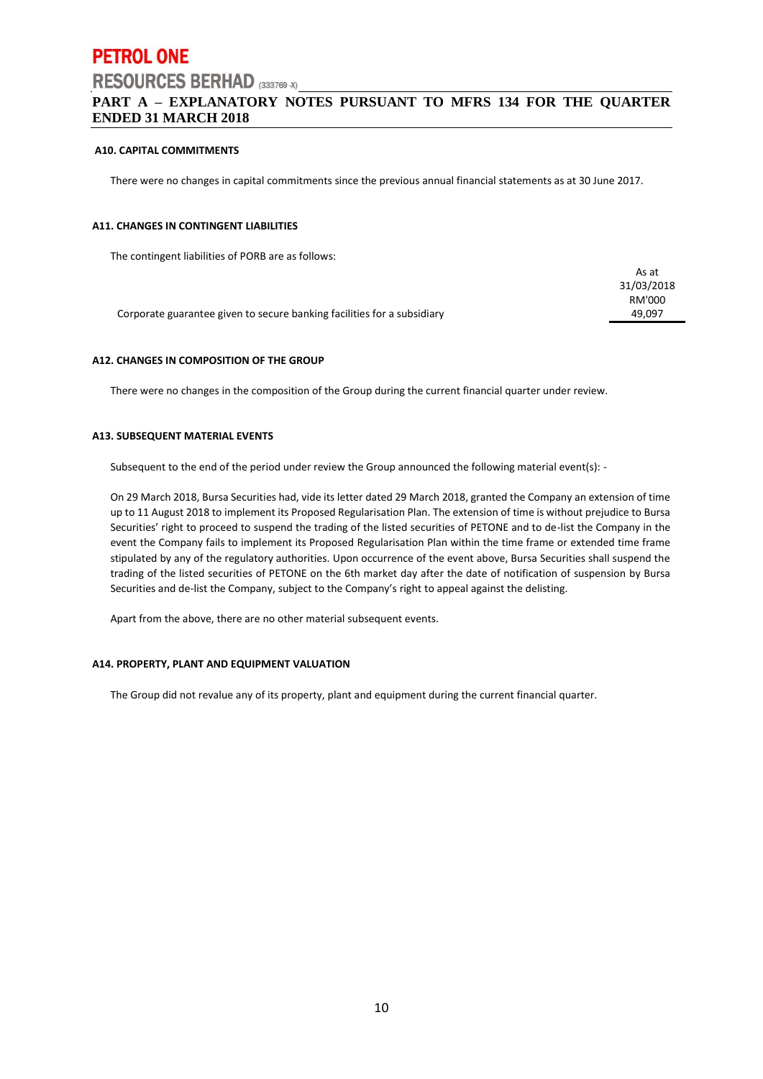## **PART A – EXPLANATORY NOTES PURSUANT TO MFRS 134 FOR THE QUARTER ENDED 31 MARCH 2018**

#### **A10. CAPITAL COMMITMENTS**

There were no changes in capital commitments since the previous annual financial statements as at 30 June 2017.

#### **A11. CHANGES IN CONTINGENT LIABILITIES**

The contingent liabilities of PORB are as follows:

|                                                                         | As at      |
|-------------------------------------------------------------------------|------------|
|                                                                         | 31/03/2018 |
|                                                                         | RM'000     |
| Corporate guarantee given to secure banking facilities for a subsidiary | 49.097     |
|                                                                         |            |

#### **A12. CHANGES IN COMPOSITION OF THE GROUP**

There were no changes in the composition of the Group during the current financial quarter under review.

#### **A13. SUBSEQUENT MATERIAL EVENTS**

Subsequent to the end of the period under review the Group announced the following material event(s): -

On 29 March 2018, Bursa Securities had, vide its letter dated 29 March 2018, granted the Company an extension of time up to 11 August 2018 to implement its Proposed Regularisation Plan. The extension of time is without prejudice to Bursa Securities' right to proceed to suspend the trading of the listed securities of PETONE and to de-list the Company in the event the Company fails to implement its Proposed Regularisation Plan within the time frame or extended time frame stipulated by any of the regulatory authorities. Upon occurrence of the event above, Bursa Securities shall suspend the trading of the listed securities of PETONE on the 6th market day after the date of notification of suspension by Bursa Securities and de-list the Company, subject to the Company's right to appeal against the delisting.

Apart from the above, there are no other material subsequent events.

#### **A14. PROPERTY, PLANT AND EQUIPMENT VALUATION**

The Group did not revalue any of its property, plant and equipment during the current financial quarter.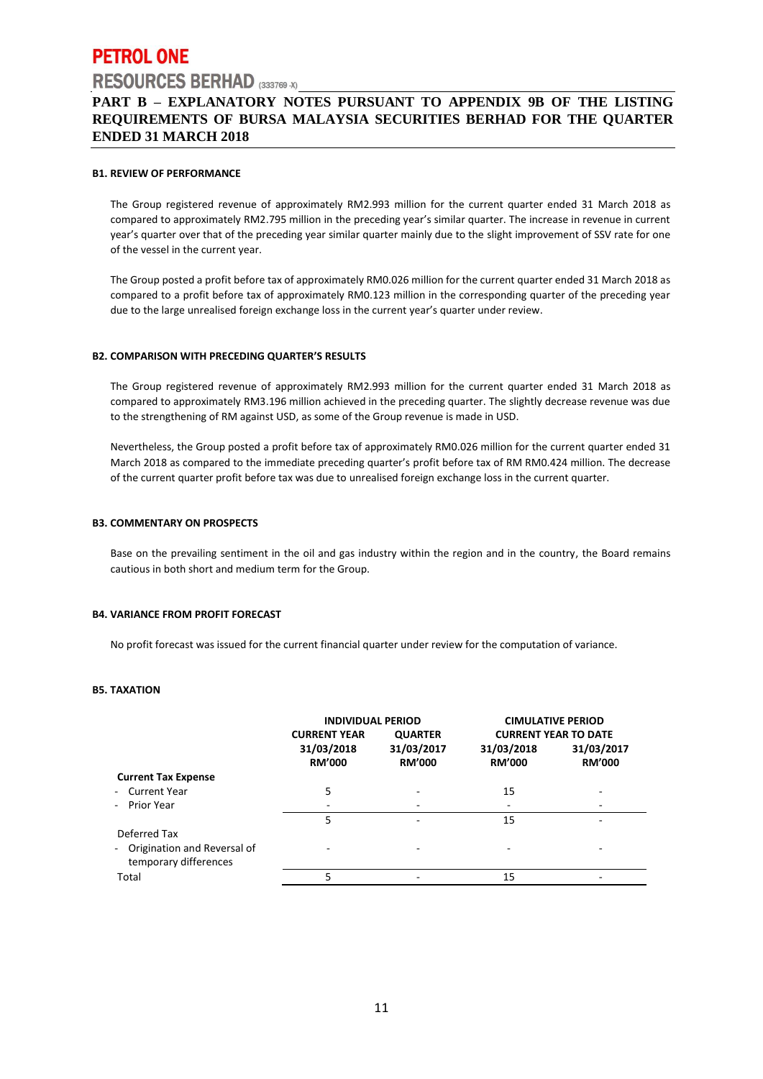## **PART B – EXPLANATORY NOTES PURSUANT TO APPENDIX 9B OF THE LISTING REQUIREMENTS OF BURSA MALAYSIA SECURITIES BERHAD FOR THE QUARTER ENDED 31 MARCH 2018**

#### **B1. REVIEW OF PERFORMANCE**

The Group registered revenue of approximately RM2.993 million for the current quarter ended 31 March 2018 as compared to approximately RM2.795 million in the preceding year's similar quarter. The increase in revenue in current year's quarter over that of the preceding year similar quarter mainly due to the slight improvement of SSV rate for one of the vessel in the current year.

The Group posted a profit before tax of approximately RM0.026 million for the current quarter ended 31 March 2018 as compared to a profit before tax of approximately RM0.123 million in the corresponding quarter of the preceding year due to the large unrealised foreign exchange loss in the current year's quarter under review.

#### **B2. COMPARISON WITH PRECEDING QUARTER'S RESULTS**

The Group registered revenue of approximately RM2.993 million for the current quarter ended 31 March 2018 as compared to approximately RM3.196 million achieved in the preceding quarter. The slightly decrease revenue was due to the strengthening of RM against USD, as some of the Group revenue is made in USD.

Nevertheless, the Group posted a profit before tax of approximately RM0.026 million for the current quarter ended 31 March 2018 as compared to the immediate preceding quarter's profit before tax of RM RM0.424 million. The decrease of the current quarter profit before tax was due to unrealised foreign exchange loss in the current quarter.

#### **B3. COMMENTARY ON PROSPECTS**

Base on the prevailing sentiment in the oil and gas industry within the region and in the country, the Board remains cautious in both short and medium term for the Group.

#### **B4. VARIANCE FROM PROFIT FORECAST**

No profit forecast was issued for the current financial quarter under review for the computation of variance.

#### **B5. TAXATION**

|                                                                        | <b>INDIVIDUAL PERIOD</b>    |                             | <b>CIMULATIVE PERIOD</b>    |                             |
|------------------------------------------------------------------------|-----------------------------|-----------------------------|-----------------------------|-----------------------------|
|                                                                        | <b>CURRENT YEAR</b>         | <b>QUARTER</b>              |                             | <b>CURRENT YEAR TO DATE</b> |
|                                                                        | 31/03/2018<br><b>RM'000</b> | 31/03/2017<br><b>RM'000</b> | 31/03/2018<br><b>RM'000</b> | 31/03/2017<br><b>RM'000</b> |
| <b>Current Tax Expense</b>                                             |                             |                             |                             |                             |
| - Current Year                                                         | 5                           |                             | 15                          |                             |
| - Prior Year                                                           |                             |                             |                             |                             |
|                                                                        | 5                           |                             | 15                          |                             |
| Deferred Tax<br>- Origination and Reversal of<br>temporary differences |                             |                             |                             |                             |
| Total                                                                  | 5                           |                             | 15                          |                             |
|                                                                        |                             |                             |                             |                             |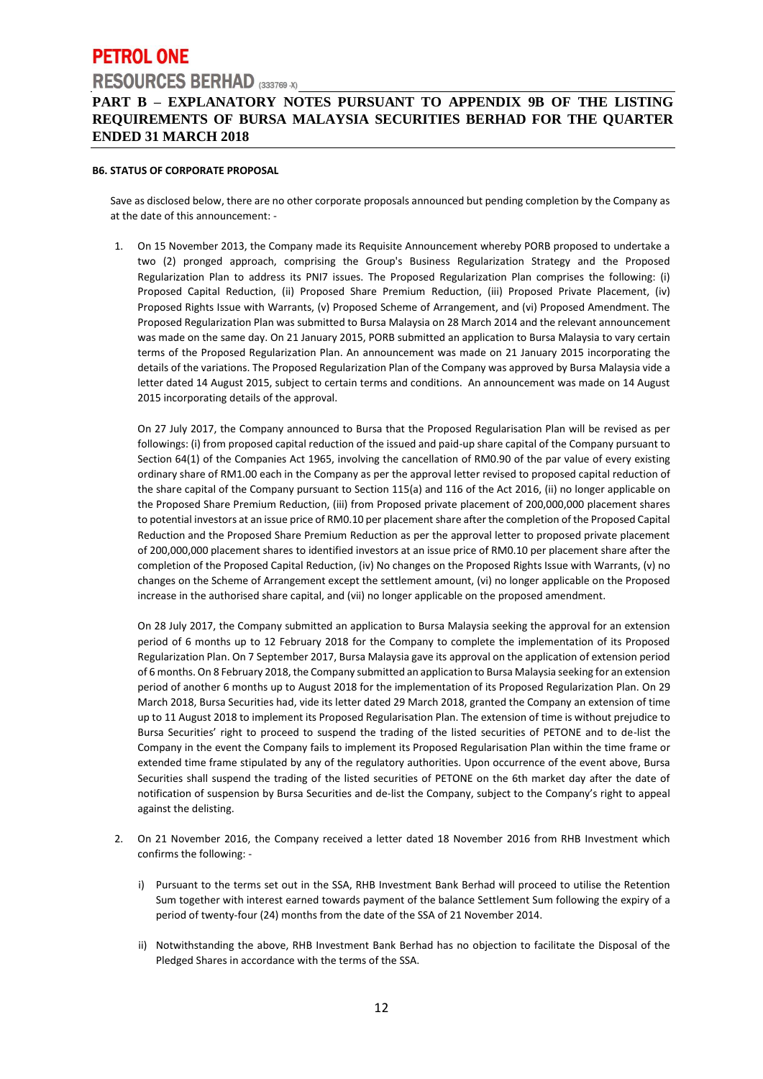## **PART B – EXPLANATORY NOTES PURSUANT TO APPENDIX 9B OF THE LISTING REQUIREMENTS OF BURSA MALAYSIA SECURITIES BERHAD FOR THE QUARTER ENDED 31 MARCH 2018**

#### **B6. STATUS OF CORPORATE PROPOSAL**

Save as disclosed below, there are no other corporate proposals announced but pending completion by the Company as at the date of this announcement: -

1. On 15 November 2013, the Company made its Requisite Announcement whereby PORB proposed to undertake a two (2) pronged approach, comprising the Group's Business Regularization Strategy and the Proposed Regularization Plan to address its PNI7 issues. The Proposed Regularization Plan comprises the following: (i) Proposed Capital Reduction, (ii) Proposed Share Premium Reduction, (iii) Proposed Private Placement, (iv) Proposed Rights Issue with Warrants, (v) Proposed Scheme of Arrangement, and (vi) Proposed Amendment. The Proposed Regularization Plan was submitted to Bursa Malaysia on 28 March 2014 and the relevant announcement was made on the same day. On 21 January 2015, PORB submitted an application to Bursa Malaysia to vary certain terms of the Proposed Regularization Plan. An announcement was made on 21 January 2015 incorporating the details of the variations. The Proposed Regularization Plan of the Company was approved by Bursa Malaysia vide a letter dated 14 August 2015, subject to certain terms and conditions. An announcement was made on 14 August 2015 incorporating details of the approval.

On 27 July 2017, the Company announced to Bursa that the Proposed Regularisation Plan will be revised as per followings: (i) from proposed capital reduction of the issued and paid-up share capital of the Company pursuant to Section 64(1) of the Companies Act 1965, involving the cancellation of RM0.90 of the par value of every existing ordinary share of RM1.00 each in the Company as per the approval letter revised to proposed capital reduction of the share capital of the Company pursuant to Section 115(a) and 116 of the Act 2016, (ii) no longer applicable on the Proposed Share Premium Reduction, (iii) from Proposed private placement of 200,000,000 placement shares to potential investors at an issue price of RM0.10 per placement share after the completion of the Proposed Capital Reduction and the Proposed Share Premium Reduction as per the approval letter to proposed private placement of 200,000,000 placement shares to identified investors at an issue price of RM0.10 per placement share after the completion of the Proposed Capital Reduction, (iv) No changes on the Proposed Rights Issue with Warrants, (v) no changes on the Scheme of Arrangement except the settlement amount, (vi) no longer applicable on the Proposed increase in the authorised share capital, and (vii) no longer applicable on the proposed amendment.

On 28 July 2017, the Company submitted an application to Bursa Malaysia seeking the approval for an extension period of 6 months up to 12 February 2018 for the Company to complete the implementation of its Proposed Regularization Plan. On 7 September 2017, Bursa Malaysia gave its approval on the application of extension period of 6 months. On 8 February 2018, the Company submitted an application to Bursa Malaysia seeking for an extension period of another 6 months up to August 2018 for the implementation of its Proposed Regularization Plan. On 29 March 2018, Bursa Securities had, vide its letter dated 29 March 2018, granted the Company an extension of time up to 11 August 2018 to implement its Proposed Regularisation Plan. The extension of time is without prejudice to Bursa Securities' right to proceed to suspend the trading of the listed securities of PETONE and to de-list the Company in the event the Company fails to implement its Proposed Regularisation Plan within the time frame or extended time frame stipulated by any of the regulatory authorities. Upon occurrence of the event above, Bursa Securities shall suspend the trading of the listed securities of PETONE on the 6th market day after the date of notification of suspension by Bursa Securities and de-list the Company, subject to the Company's right to appeal against the delisting.

- 2. On 21 November 2016, the Company received a letter dated 18 November 2016 from RHB Investment which confirms the following:
	- i) Pursuant to the terms set out in the SSA, RHB Investment Bank Berhad will proceed to utilise the Retention Sum together with interest earned towards payment of the balance Settlement Sum following the expiry of a period of twenty-four (24) months from the date of the SSA of 21 November 2014.
	- ii) Notwithstanding the above, RHB Investment Bank Berhad has no objection to facilitate the Disposal of the Pledged Shares in accordance with the terms of the SSA.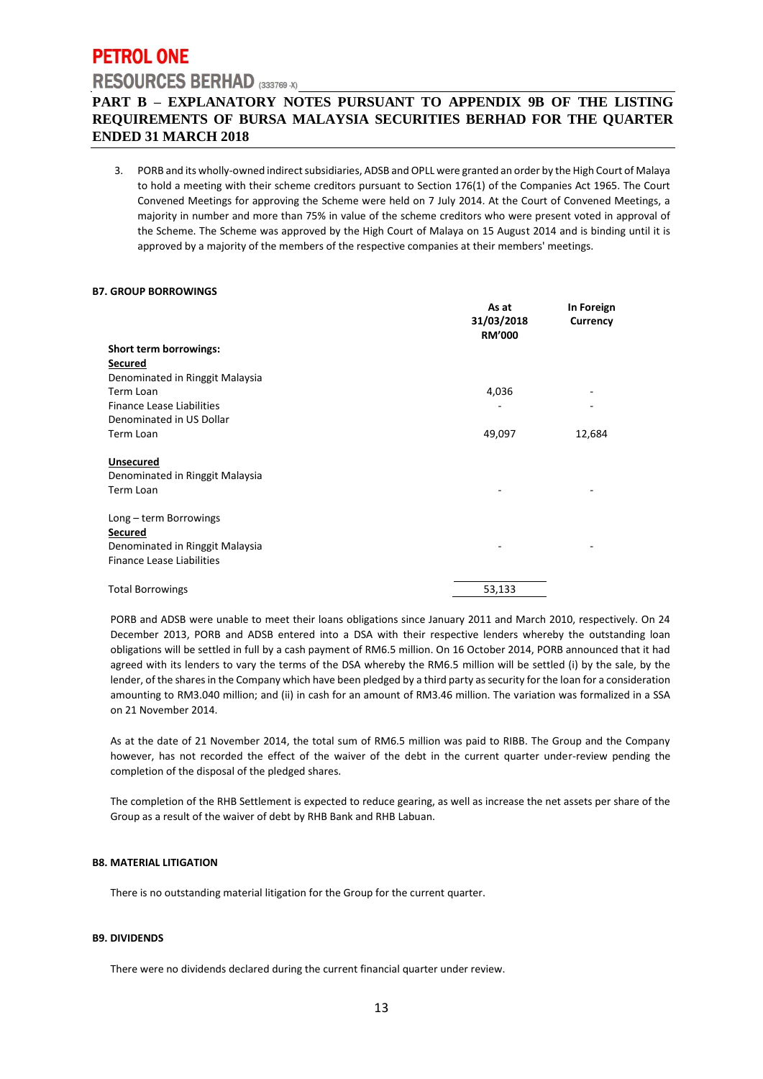# **PETROL ONE**

# **RESOURCES BERHAD** (333769 -X)

## **PART B – EXPLANATORY NOTES PURSUANT TO APPENDIX 9B OF THE LISTING REQUIREMENTS OF BURSA MALAYSIA SECURITIES BERHAD FOR THE QUARTER ENDED 31 MARCH 2018**

3. PORB and its wholly-owned indirect subsidiaries, ADSB and OPLL were granted an order by the High Court of Malaya to hold a meeting with their scheme creditors pursuant to Section 176(1) of the Companies Act 1965. The Court Convened Meetings for approving the Scheme were held on 7 July 2014. At the Court of Convened Meetings, a majority in number and more than 75% in value of the scheme creditors who were present voted in approval of the Scheme. The Scheme was approved by the High Court of Malaya on 15 August 2014 and is binding until it is approved by a majority of the members of the respective companies at their members' meetings.

#### **B7. GROUP BORROWINGS**

|                                 | As at<br>31/03/2018<br><b>RM'000</b> | In Foreign<br>Currency |
|---------------------------------|--------------------------------------|------------------------|
| Short term borrowings:          |                                      |                        |
| <b>Secured</b>                  |                                      |                        |
| Denominated in Ringgit Malaysia |                                      |                        |
| Term Loan                       | 4,036                                |                        |
| Finance Lease Liabilities       |                                      |                        |
| Denominated in US Dollar        |                                      |                        |
| Term Loan                       | 49,097                               | 12,684                 |
| <b>Unsecured</b>                |                                      |                        |
| Denominated in Ringgit Malaysia |                                      |                        |
| Term Loan                       |                                      |                        |
| Long - term Borrowings          |                                      |                        |
| <b>Secured</b>                  |                                      |                        |
| Denominated in Ringgit Malaysia |                                      |                        |
| Finance Lease Liabilities       |                                      |                        |
| <b>Total Borrowings</b>         | 53,133                               |                        |

PORB and ADSB were unable to meet their loans obligations since January 2011 and March 2010, respectively. On 24 December 2013, PORB and ADSB entered into a DSA with their respective lenders whereby the outstanding loan obligations will be settled in full by a cash payment of RM6.5 million. On 16 October 2014, PORB announced that it had agreed with its lenders to vary the terms of the DSA whereby the RM6.5 million will be settled (i) by the sale, by the lender, of the shares in the Company which have been pledged by a third party as security for the loan for a consideration amounting to RM3.040 million; and (ii) in cash for an amount of RM3.46 million. The variation was formalized in a SSA on 21 November 2014.

As at the date of 21 November 2014, the total sum of RM6.5 million was paid to RIBB. The Group and the Company however, has not recorded the effect of the waiver of the debt in the current quarter under-review pending the completion of the disposal of the pledged shares.

The completion of the RHB Settlement is expected to reduce gearing, as well as increase the net assets per share of the Group as a result of the waiver of debt by RHB Bank and RHB Labuan.

#### **B8. MATERIAL LITIGATION**

There is no outstanding material litigation for the Group for the current quarter.

#### **B9. DIVIDENDS**

There were no dividends declared during the current financial quarter under review.